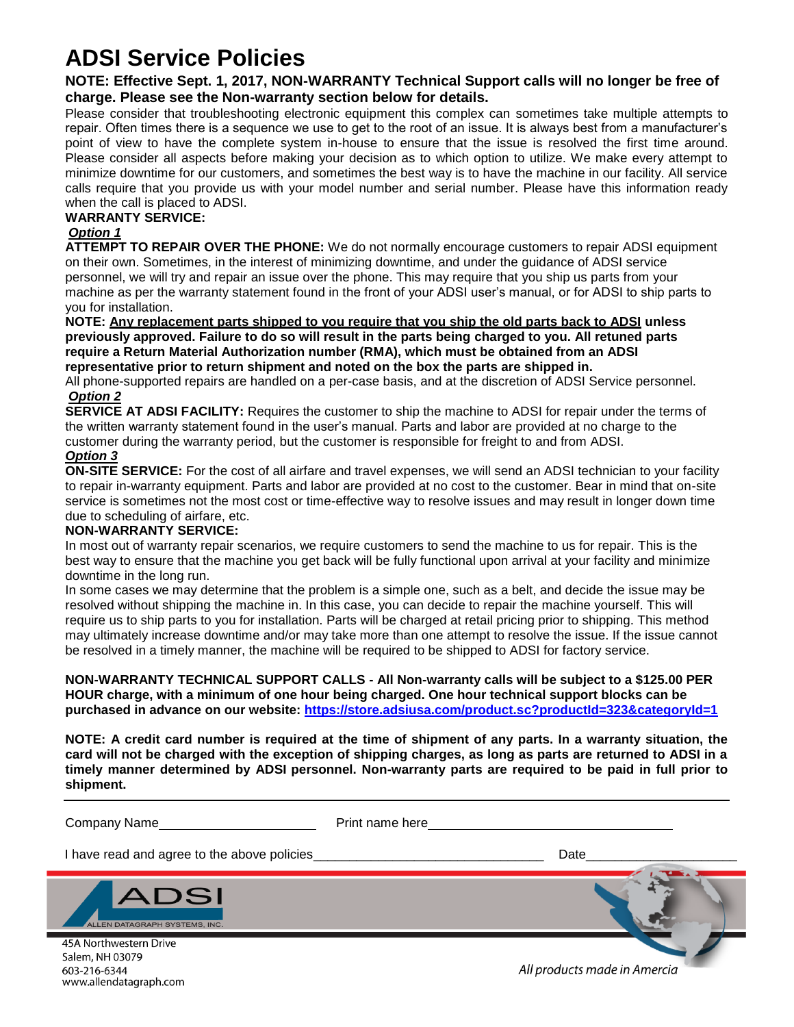# **ADSI Service Policies**

**NOTE: Effective Sept. 1, 2017, NON-WARRANTY Technical Support calls will no longer be free of charge. Please see the Non-warranty section below for details.**

Please consider that troubleshooting electronic equipment this complex can sometimes take multiple attempts to repair. Often times there is a sequence we use to get to the root of an issue. It is always best from a manufacturer's point of view to have the complete system in-house to ensure that the issue is resolved the first time around. Please consider all aspects before making your decision as to which option to utilize. We make every attempt to minimize downtime for our customers, and sometimes the best way is to have the machine in our facility. All service calls require that you provide us with your model number and serial number. Please have this information ready when the call is placed to ADSI.

#### **WARRANTY SERVICE:**

#### *Option 1*

**ATTEMPT TO REPAIR OVER THE PHONE:** We do not normally encourage customers to repair ADSI equipment on their own. Sometimes, in the interest of minimizing downtime, and under the guidance of ADSI service personnel, we will try and repair an issue over the phone. This may require that you ship us parts from your machine as per the warranty statement found in the front of your ADSI user's manual, or for ADSI to ship parts to you for installation.

**NOTE: Any replacement parts shipped to you require that you ship the old parts back to ADSI unless previously approved. Failure to do so will result in the parts being charged to you. All retuned parts require a Return Material Authorization number (RMA), which must be obtained from an ADSI representative prior to return shipment and noted on the box the parts are shipped in.**

All phone-supported repairs are handled on a per-case basis, and at the discretion of ADSI Service personnel. *Option 2*

**SERVICE AT ADSI FACILITY:** Requires the customer to ship the machine to ADSI for repair under the terms of the written warranty statement found in the user's manual. Parts and labor are provided at no charge to the customer during the warranty period, but the customer is responsible for freight to and from ADSI.

### *Option 3*

**ON-SITE SERVICE:** For the cost of all airfare and travel expenses, we will send an ADSI technician to your facility to repair in-warranty equipment. Parts and labor are provided at no cost to the customer. Bear in mind that on-site service is sometimes not the most cost or time-effective way to resolve issues and may result in longer down time due to scheduling of airfare, etc.

#### **NON-WARRANTY SERVICE:**

In most out of warranty repair scenarios, we require customers to send the machine to us for repair. This is the best way to ensure that the machine you get back will be fully functional upon arrival at your facility and minimize downtime in the long run.

In some cases we may determine that the problem is a simple one, such as a belt, and decide the issue may be resolved without shipping the machine in. In this case, you can decide to repair the machine yourself. This will require us to ship parts to you for installation. Parts will be charged at retail pricing prior to shipping. This method may ultimately increase downtime and/or may take more than one attempt to resolve the issue. If the issue cannot be resolved in a timely manner, the machine will be required to be shipped to ADSI for factory service.

#### **NON-WARRANTY TECHNICAL SUPPORT CALLS - All Non-warranty calls will be subject to a \$125.00 PER HOUR charge, with a minimum of one hour being charged. One hour technical support blocks can be purchased in advance on our website:<https://store.adsiusa.com/product.sc?productId=323&categoryId=1>**

**NOTE: A credit card number is required at the time of shipment of any parts. In a warranty situation, the card will not be charged with the exception of shipping charges, as long as parts are returned to ADSI in a timely manner determined by ADSI personnel. Non-warranty parts are required to be paid in full prior to shipment.**

Company Name **Print name here** Print name here

I have read and agree to the above policies example of the state of the Date



45A Northwestern Drive Salem, NH 03079 603-216-6344 www.allendatagraph.com

All products made in Amercia